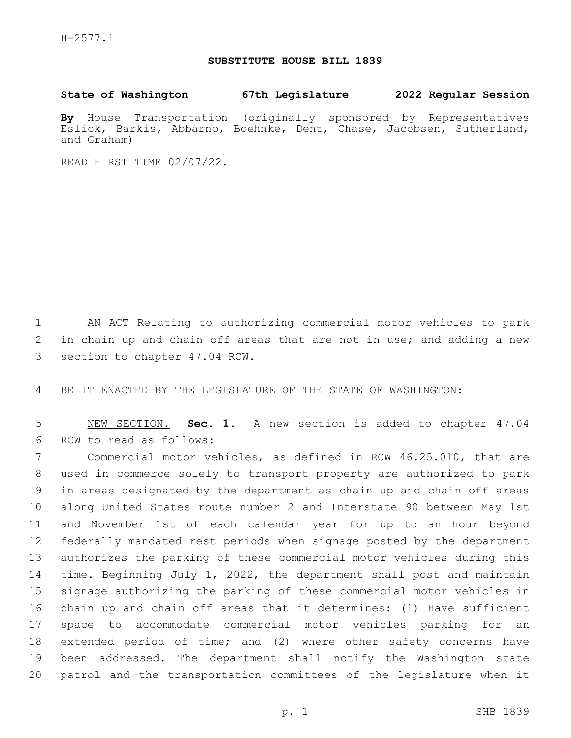## **SUBSTITUTE HOUSE BILL 1839**

**State of Washington 67th Legislature 2022 Regular Session**

**By** House Transportation (originally sponsored by Representatives Eslick, Barkis, Abbarno, Boehnke, Dent, Chase, Jacobsen, Sutherland, and Graham)

READ FIRST TIME 02/07/22.

 AN ACT Relating to authorizing commercial motor vehicles to park in chain up and chain off areas that are not in use; and adding a new 3 section to chapter 47.04 RCW.

BE IT ENACTED BY THE LEGISLATURE OF THE STATE OF WASHINGTON:

 NEW SECTION. **Sec. 1.** A new section is added to chapter 47.04 6 RCW to read as follows:

 Commercial motor vehicles, as defined in RCW 46.25.010, that are used in commerce solely to transport property are authorized to park in areas designated by the department as chain up and chain off areas along United States route number 2 and Interstate 90 between May 1st and November 1st of each calendar year for up to an hour beyond federally mandated rest periods when signage posted by the department authorizes the parking of these commercial motor vehicles during this time. Beginning July 1, 2022, the department shall post and maintain signage authorizing the parking of these commercial motor vehicles in chain up and chain off areas that it determines: (1) Have sufficient space to accommodate commercial motor vehicles parking for an extended period of time; and (2) where other safety concerns have been addressed. The department shall notify the Washington state patrol and the transportation committees of the legislature when it